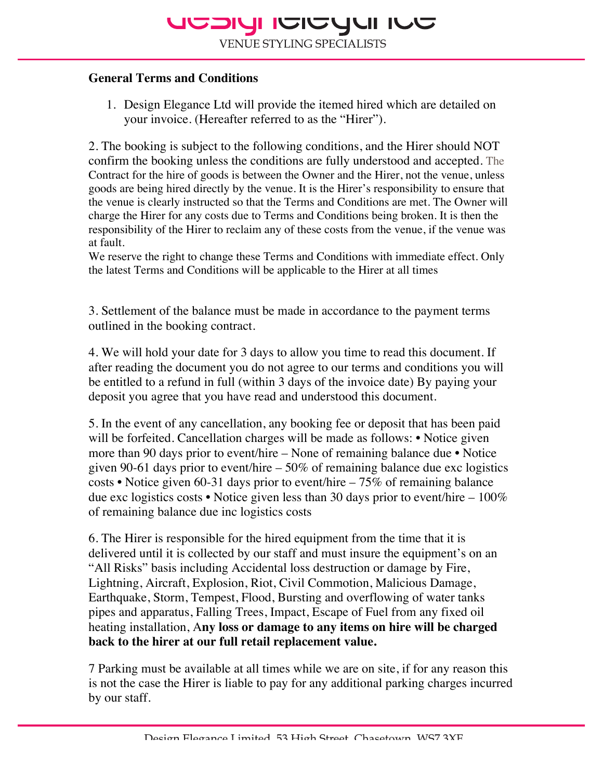### **General Terms and Conditions**

1. Design Elegance Ltd will provide the itemed hired which are detailed on your invoice. (Hereafter referred to as the "Hirer").

2. The booking is subject to the following conditions, and the Hirer should NOT confirm the booking unless the conditions are fully understood and accepted. The Contract for the hire of goods is between the Owner and the Hirer, not the venue, unless goods are being hired directly by the venue. It is the Hirer's responsibility to ensure that the venue is clearly instructed so that the Terms and Conditions are met. The Owner will charge the Hirer for any costs due to Terms and Conditions being broken. It is then the responsibility of the Hirer to reclaim any of these costs from the venue, if the venue was at fault.

We reserve the right to change these Terms and Conditions with immediate effect. Only the latest Terms and Conditions will be applicable to the Hirer at all times

3. Settlement of the balance must be made in accordance to the payment terms outlined in the booking contract.

4. We will hold your date for 3 days to allow you time to read this document. If after reading the document you do not agree to our terms and conditions you will be entitled to a refund in full (within 3 days of the invoice date) By paying your deposit you agree that you have read and understood this document.

5. In the event of any cancellation, any booking fee or deposit that has been paid will be forfeited. Cancellation charges will be made as follows: • Notice given more than 90 days prior to event/hire – None of remaining balance due • Notice given 90-61 days prior to event/hire – 50% of remaining balance due exc logistics costs • Notice given 60-31 days prior to event/hire – 75% of remaining balance due exc logistics costs • Notice given less than 30 days prior to event/hire  $-100\%$ of remaining balance due inc logistics costs

6. The Hirer is responsible for the hired equipment from the time that it is delivered until it is collected by our staff and must insure the equipment's on an "All Risks" basis including Accidental loss destruction or damage by Fire, Lightning, Aircraft, Explosion, Riot, Civil Commotion, Malicious Damage, Earthquake, Storm, Tempest, Flood, Bursting and overflowing of water tanks pipes and apparatus, Falling Trees, Impact, Escape of Fuel from any fixed oil heating installation, A**ny loss or damage to any items on hire will be charged back to the hirer at our full retail replacement value.** 

7 Parking must be available at all times while we are on site, if for any reason this is not the case the Hirer is liable to pay for any additional parking charges incurred by our staff.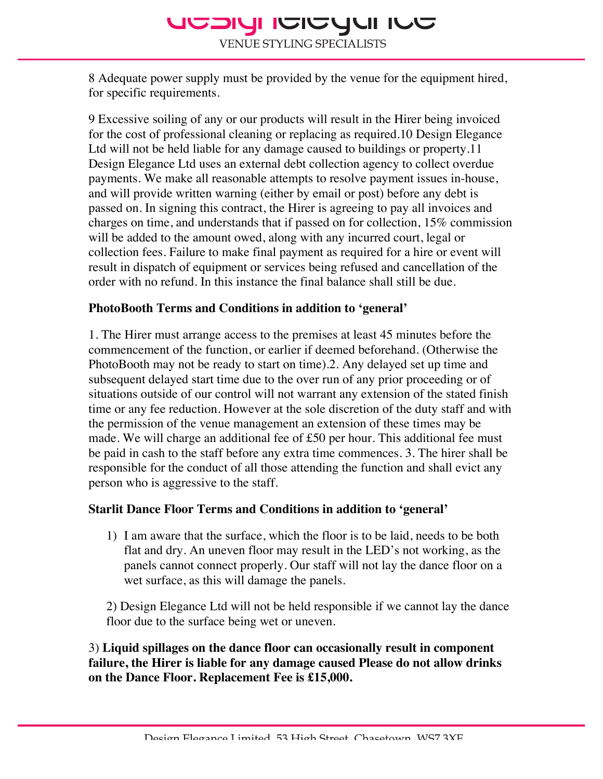# **DUI ILLUIDI ILLUIDI**

**VENUE STYLING SPECIALISTS** 

8 Adequate power supply must be provided by the venue for the equipment hired, for specific requirements.

9 Excessive soiling of any or our products will result in the Hirer being invoiced for the cost of professional cleaning or replacing as required.10 Design Elegance Ltd will not be held liable for any damage caused to buildings or property.11 Design Elegance Ltd uses an external debt collection agency to collect overdue payments. We make all reasonable attempts to resolve payment issues in-house, and will provide written warning (either by email or post) before any debt is passed on. In signing this contract, the Hirer is agreeing to pay all invoices and charges on time, and understands that if passed on for collection, 15% commission will be added to the amount owed, along with any incurred court, legal or collection fees. Failure to make final payment as required for a hire or event will result in dispatch of equipment or services being refused and cancellation of the order with no refund. In this instance the final balance shall still be due.

### **PhotoBooth Terms and Conditions in addition to 'general'**

1. The Hirer must arrange access to the premises at least 45 minutes before the commencement of the function, or earlier if deemed beforehand. (Otherwise the PhotoBooth may not be ready to start on time).2. Any delayed set up time and subsequent delayed start time due to the over run of any prior proceeding or of situations outside of our control will not warrant any extension of the stated finish time or any fee reduction. However at the sole discretion of the duty staff and with the permission of the venue management an extension of these times may be made. We will charge an additional fee of £50 per hour. This additional fee must be paid in cash to the staff before any extra time commences. 3. The hirer shall be responsible for the conduct of all those attending the function and shall evict any person who is aggressive to the staff.

### **Starlit Dance Floor Terms and Conditions in addition to 'general'**

1) I am aware that the surface, which the floor is to be laid, needs to be both flat and dry. An uneven floor may result in the LED's not working, as the panels cannot connect properly. Our staff will not lay the dance floor on a wet surface, as this will damage the panels.

2) Design Elegance Ltd will not be held responsible if we cannot lay the dance floor due to the surface being wet or uneven.

3) **Liquid spillages on the dance floor can occasionally result in component failure, the Hirer is liable for any damage caused Please do not allow drinks on the Dance Floor. Replacement Fee is £15,000.**